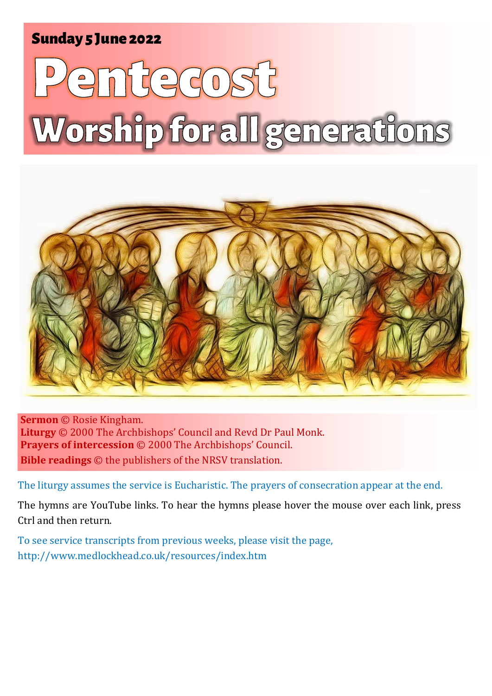# Sunday 5 June 2022 1 **Whit Sunday** Sunday 5 June 2022

# emfregosf Worship for all generations



**Sermon** © Rosie Kingham. **Liturgy** © 2000 The Archbishops' Council and Revd Dr Paul Monk. **Prayers of intercession** © 2000 The Archbishops' Council. **Bible readings** © the publishers of the NRSV translation.

The liturgy assumes the service is Eucharistic. The prayers of consecration appear at the end.

The hymns are YouTube links. To hear the hymns please hover the mouse over each link, press Ctrl and then return.

To see service transcripts from previous weeks, please visit the page, <http://www.medlockhead.co.uk/resources/index.htm>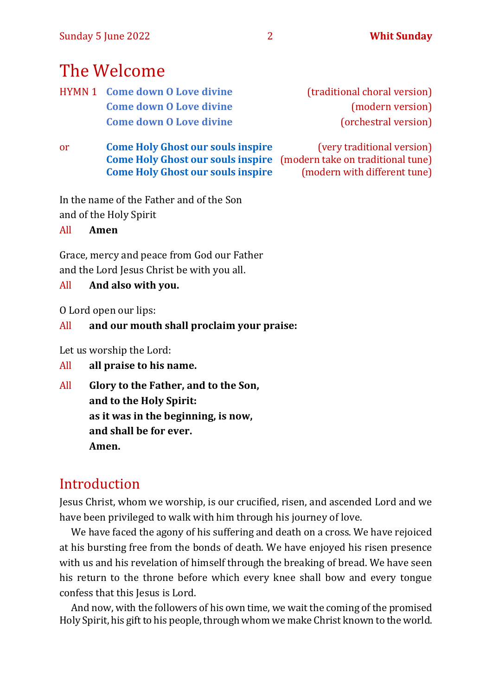# The Welcome

- HYMN 1 **Come down 0 Love divine** (traditional choral version) **[Come down O Love divine](https://youtu.be/FbPclyCaY0w)** (modern version) **[Come down O Love divine](https://youtu.be/aLjaslOT8TA)** (orchestral version)
- or **[Come Holy Ghost our souls inspire](https://www.youtube.com/watch?v=kmRbc9cf-dw)** (very traditional version) **[Come Holy Ghost our souls inspire](https://www.youtube.com/watch?v=R2Gog00cLdw)** (modern take on traditional tune) **[Come Holy Ghost our souls inspire](https://www.youtube.com/watch?v=vmJ24aB3XVA)** (modern with different tune)

In the name of the Father and of the Son and of the Holy Spirit

All **Amen**

Grace, mercy and peace from God our Father and the Lord Jesus Christ be with you all.

# All **And also with you.**

O Lord open our lips:

# All **and our mouth shall proclaim your praise:**

Let us worship the Lord:

# All **all praise to his name.**

All **Glory to the Father, and to the Son, and to the Holy Spirit: as it was in the beginning, is now, and shall be for ever. Amen.**

# Introduction

Jesus Christ, whom we worship, is our crucified, risen, and ascended Lord and we have been privileged to walk with him through his journey of love.

We have faced the agony of his suffering and death on a cross. We have rejoiced at his bursting free from the bonds of death. We have enjoyed his risen presence with us and his revelation of himself through the breaking of bread. We have seen his return to the throne before which every knee shall bow and every tongue confess that this Jesus is Lord.

And now, with the followers of his own time, we wait the coming of the promised Holy Spirit, his gift to his people, through whom we make Christ known to the world.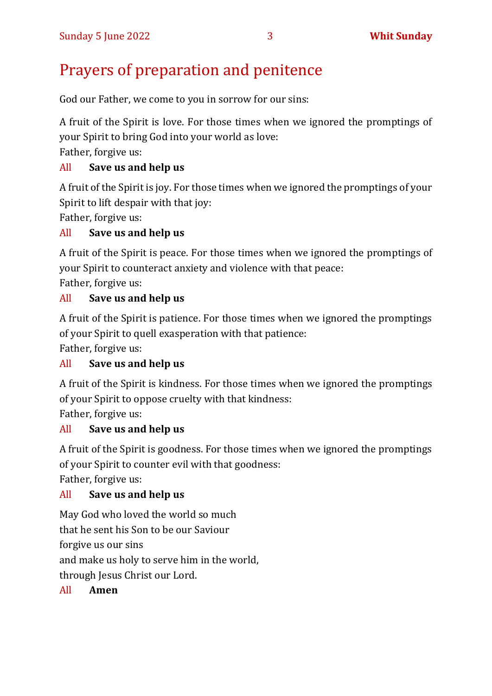# Prayers of preparation and penitence

God our Father, we come to you in sorrow for our sins:

A fruit of the Spirit is love. For those times when we ignored the promptings of your Spirit to bring God into your world as love:

Father, forgive us:

# All **Save us and help us**

A fruit of the Spirit is joy. For those times when we ignored the promptings of your Spirit to lift despair with that joy:

Father, forgive us:

# All **Save us and help us**

A fruit of the Spirit is peace. For those times when we ignored the promptings of your Spirit to counteract anxiety and violence with that peace:

Father, forgive us:

# All **Save us and help us**

A fruit of the Spirit is patience. For those times when we ignored the promptings of your Spirit to quell exasperation with that patience:

Father, forgive us:

# All **Save us and help us**

A fruit of the Spirit is kindness. For those times when we ignored the promptings of your Spirit to oppose cruelty with that kindness:

Father, forgive us:

# All **Save us and help us**

A fruit of the Spirit is goodness. For those times when we ignored the promptings of your Spirit to counter evil with that goodness:

Father, forgive us:

# All **Save us and help us**

May God who loved the world so much

that he sent his Son to be our Saviour

forgive us our sins

and make us holy to serve him in the world,

through Jesus Christ our Lord.

# All **Amen**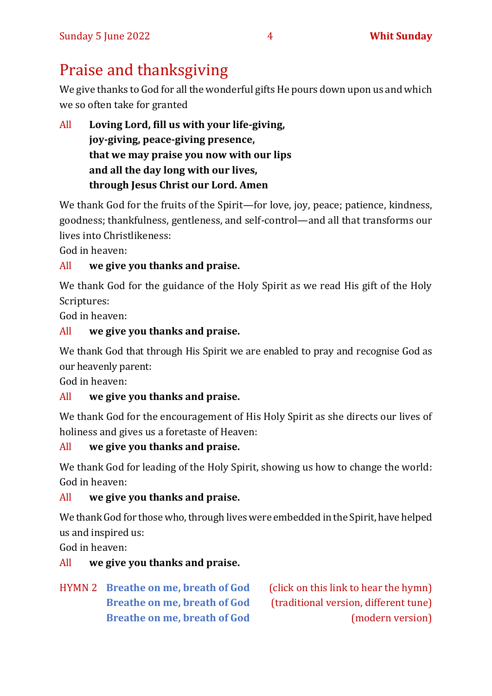# Praise and thanksgiving

We give thanks to God for all the wonderful gifts He pours down upon us and which we so often take for granted

All **Loving Lord, fill us with your life-giving, joy-giving, peace-giving presence, that we may praise you now with our lips and all the day long with our lives, through Jesus Christ our Lord. Amen**

We thank God for the fruits of the Spirit—for love, joy, peace; patience, kindness, goodness; thankfulness, gentleness, and self-control—and all that transforms our lives into Christlikeness:

God in heaven:

#### All **we give you thanks and praise.**

We thank God for the guidance of the Holy Spirit as we read His gift of the Holy Scriptures:

God in heaven:

# All **we give you thanks and praise.**

We thank God that through His Spirit we are enabled to pray and recognise God as our heavenly parent:

God in heaven:

# All **we give you thanks and praise.**

We thank God for the encouragement of His Holy Spirit as she directs our lives of holiness and gives us a foretaste of Heaven:

# All **we give you thanks and praise.**

We thank God for leading of the Holy Spirit, showing us how to change the world: God in heaven:

# All **we give you thanks and praise.**

We thank God for those who, through lives were embedded in the Spirit, have helped us and inspired us:

God in heaven:

# All **we give you thanks and praise.**

HYMN 2 **[Breathe on me, breath of God](https://youtu.be/M5keJHZdWYM)** (click on this link to hear the hymn)

**[Breathe on me, breath of God](https://www.youtube.com/watch?v=r8mCs-QHELw)** (traditional version, different tune) **[Breathe on me, breath of God](https://www.youtube.com/watch?v=6ph-t8P2r_I)** (modern version)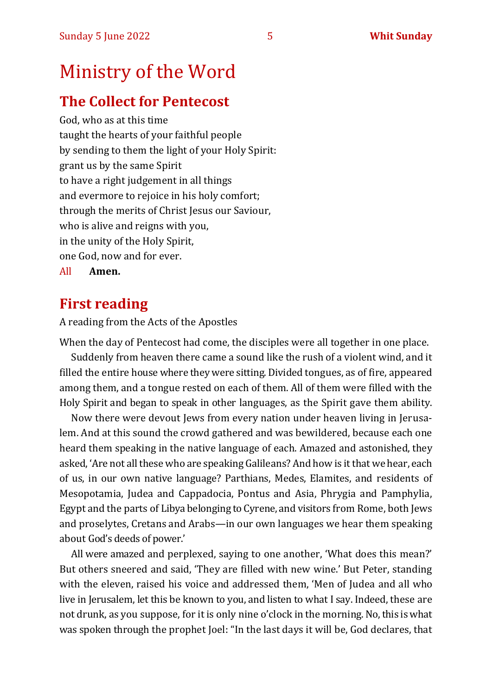# Ministry of the Word

# **The Collect for Pentecost**

God, who as at this time taught the hearts of your faithful people by sending to them the light of your Holy Spirit: grant us by the same Spirit to have a right judgement in all things and evermore to rejoice in his holy comfort; through the merits of Christ Jesus our Saviour, who is alive and reigns with you, in the unity of the Holy Spirit, one God, now and for ever. All **Amen.**

# **First reading**

A reading from the Acts of the Apostles

When the day of Pentecost had come, the disciples were all together in one place.

Suddenly from heaven there came a sound like the rush of a violent wind, and it filled the entire house where they were sitting. Divided tongues, as of fire, appeared among them, and a tongue rested on each of them. All of them were filled with the Holy Spirit and began to speak in other languages, as the Spirit gave them ability.

Now there were devout Jews from every nation under heaven living in Jerusalem. And at this sound the crowd gathered and was bewildered, because each one heard them speaking in the native language of each. Amazed and astonished, they asked, 'Are not all these who are speaking Galileans? And how is it that we hear, each of us, in our own native language? Parthians, Medes, Elamites, and residents of Mesopotamia, Judea and Cappadocia, Pontus and Asia, Phrygia and Pamphylia, Egypt and the parts of Libya belonging to Cyrene, and visitors from Rome, both Jews and proselytes, Cretans and Arabs—in our own languages we hear them speaking about God's deeds of power.'

All were amazed and perplexed, saying to one another, 'What does this mean?' But others sneered and said, 'They are filled with new wine.' But Peter, standing with the eleven, raised his voice and addressed them, 'Men of Judea and all who live in Jerusalem, let this be known to you, and listen to what I say. Indeed, these are not drunk, as you suppose, for it is only nine o'clock in the morning. No, this is what was spoken through the prophet Joel: "In the last days it will be, God declares, that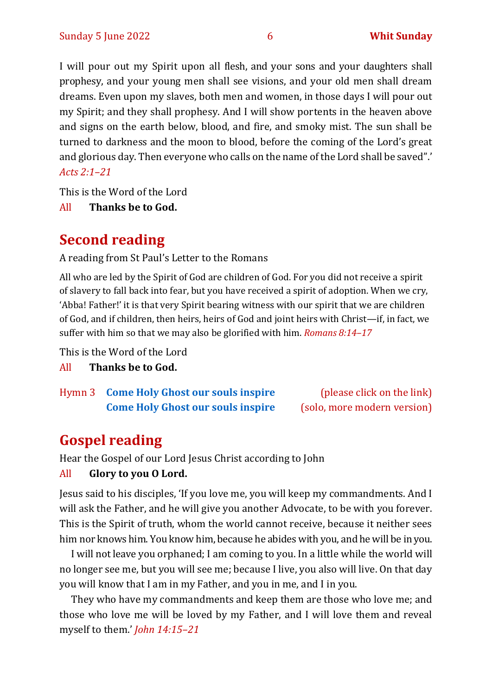I will pour out my Spirit upon all flesh, and your sons and your daughters shall prophesy, and your young men shall see visions, and your old men shall dream dreams. Even upon my slaves, both men and women, in those days I will pour out my Spirit; and they shall prophesy. And I will show portents in the heaven above and signs on the earth below, blood, and fire, and smoky mist. The sun shall be turned to darkness and the moon to blood, before the coming of the Lord's great and glorious day. Then everyone who calls on the name of the Lord shall be saved".' *Acts 2:1–21*

This is the Word of the Lord

All **Thanks be to God.**

# **Second reading**

A reading from St Paul's Letter to the Romans

All who are led by the Spirit of God are children of God. For you did not receive a spirit of slavery to fall back into fear, but you have received a spirit of adoption. When we cry, 'Abba! Father!' it is that very Spirit bearing witness with our spirit that we are children of God, and if children, then heirs, heirs of God and joint heirs with Christ—if, in fact, we suffer with him so that we may also be glorified with him. *Romans 8:14–17*

This is the Word of the Lord

All **Thanks be to God.**

Hymn 3 **[Come Holy Ghost our souls inspire](https://www.youtube.com/watch?v=kmRbc9cf-dw)** (please click on the link) **[Come Holy Ghost our souls inspire](https://www.youtube.com/watch?v=LRzJ8yF2Lhk&t=22s)** (solo, more modern version)

# **Gospel reading**

Hear the Gospel of our Lord Jesus Christ according to John

# All **Glory to you O Lord.**

Jesus said to his disciples, 'If you love me, you will keep my commandments. And I will ask the Father, and he will give you another Advocate, to be with you forever. This is the Spirit of truth, whom the world cannot receive, because it neither sees him nor knows him. You know him, because he abides with you, and he will be in you.

I will not leave you orphaned; I am coming to you. In a little while the world will no longer see me, but you will see me; because I live, you also will live. On that day you will know that I am in my Father, and you in me, and I in you.

They who have my commandments and keep them are those who love me; and those who love me will be loved by my Father, and I will love them and reveal myself to them.' *John 14:15–21*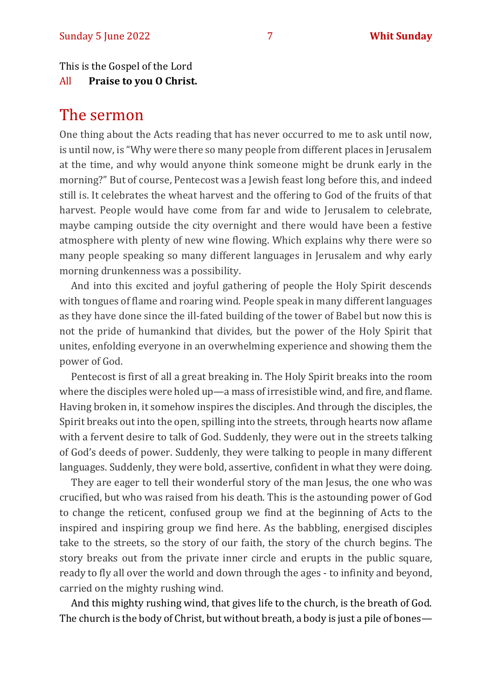This is the Gospel of the Lord

All **Praise to you O Christ.** 

# The sermon

One thing about the Acts reading that has never occurred to me to ask until now, is until now, is "Why were there so many people from different places in Jerusalem at the time, and why would anyone think someone might be drunk early in the morning?" But of course, Pentecost was a Jewish feast long before this, and indeed still is. It celebrates the wheat harvest and the offering to God of the fruits of that harvest. People would have come from far and wide to Jerusalem to celebrate, maybe camping outside the city overnight and there would have been a festive atmosphere with plenty of new wine flowing. Which explains why there were so many people speaking so many different languages in Jerusalem and why early morning drunkenness was a possibility.

And into this excited and joyful gathering of people the Holy Spirit descends with tongues of flame and roaring wind. People speak in many different languages as they have done since the ill-fated building of the tower of Babel but now this is not the pride of humankind that divides, but the power of the Holy Spirit that unites, enfolding everyone in an overwhelming experience and showing them the power of God.

Pentecost is first of all a great breaking in. The Holy Spirit breaks into the room where the disciples were holed up—a mass of irresistible wind, and fire, and flame. Having broken in, it somehow inspires the disciples. And through the disciples, the Spirit breaks out into the open, spilling into the streets, through hearts now aflame with a fervent desire to talk of God. Suddenly, they were out in the streets talking of God's deeds of power. Suddenly, they were talking to people in many different languages. Suddenly, they were bold, assertive, confident in what they were doing.

They are eager to tell their wonderful story of the man Jesus, the one who was crucified, but who was raised from his death. This is the astounding power of God to change the reticent, confused group we find at the beginning of Acts to the inspired and inspiring group we find here. As the babbling, energised disciples take to the streets, so the story of our faith, the story of the church begins. The story breaks out from the private inner circle and erupts in the public square, ready to fly all over the world and down through the ages - to infinity and beyond, carried on the mighty rushing wind.

And this mighty rushing wind, that gives life to the church, is the breath of God. The church is the body of Christ, but without breath, a body is just a pile of bones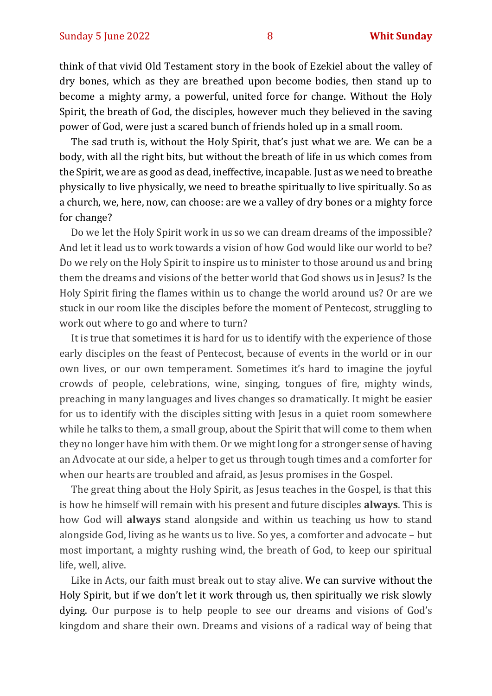think of that vivid Old Testament story in the book of Ezekiel about the valley of dry bones, which as they are breathed upon become bodies, then stand up to become a mighty army, a powerful, united force for change. Without the Holy Spirit, the breath of God, the disciples, however much they believed in the saving power of God, were just a scared bunch of friends holed up in a small room.

The sad truth is, without the Holy Spirit, that's just what we are. We can be a body, with all the right bits, but without the breath of life in us which comes from the Spirit, we are as good as dead, ineffective, incapable. Just as we need to breathe physically to live physically, we need to breathe spiritually to live spiritually. So as a church, we, here, now, can choose: are we a valley of dry bones or a mighty force for change?

Do we let the Holy Spirit work in us so we can dream dreams of the impossible? And let it lead us to work towards a vision of how God would like our world to be? Do we rely on the Holy Spirit to inspire us to minister to those around us and bring them the dreams and visions of the better world that God shows us in Jesus? Is the Holy Spirit firing the flames within us to change the world around us? Or are we stuck in our room like the disciples before the moment of Pentecost, struggling to work out where to go and where to turn?

It is true that sometimes it is hard for us to identify with the experience of those early disciples on the feast of Pentecost, because of events in the world or in our own lives, or our own temperament. Sometimes it's hard to imagine the joyful crowds of people, celebrations, wine, singing, tongues of fire, mighty winds, preaching in many languages and lives changes so dramatically. It might be easier for us to identify with the disciples sitting with Jesus in a quiet room somewhere while he talks to them, a small group, about the Spirit that will come to them when they no longer have him with them. Or we might long for a stronger sense of having an Advocate at our side, a helper to get us through tough times and a comforter for when our hearts are troubled and afraid, as Jesus promises in the Gospel.

The great thing about the Holy Spirit, as Jesus teaches in the Gospel, is that this is how he himself will remain with his present and future disciples **always**. This is how God will **always** stand alongside and within us teaching us how to stand alongside God, living as he wants us to live. So yes, a comforter and advocate – but most important, a mighty rushing wind, the breath of God, to keep our spiritual life, well, alive.

Like in Acts, our faith must break out to stay alive. We can survive without the Holy Spirit, but if we don't let it work through us, then spiritually we risk slowly dying. Our purpose is to help people to see our dreams and visions of God's kingdom and share their own. Dreams and visions of a radical way of being that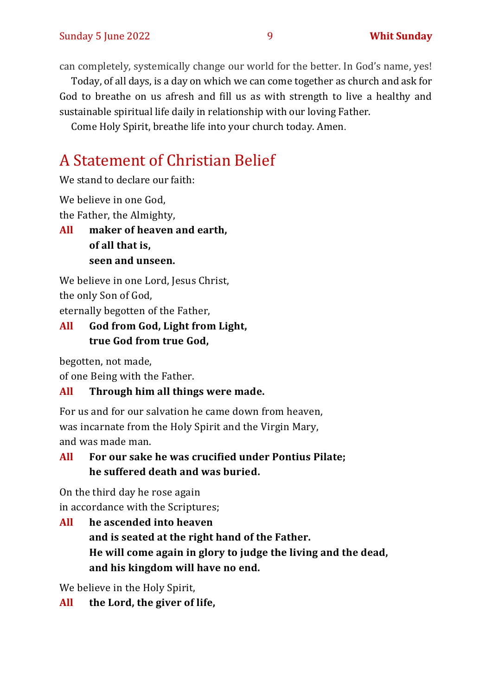can completely, systemically change our world for the better. In God's name, yes!

Today, of all days, is a day on which we can come together as church and ask for God to breathe on us afresh and fill us as with strength to live a healthy and sustainable spiritual life daily in relationship with our loving Father.

Come Holy Spirit, breathe life into your church today. Amen.

# A Statement of Christian Belief

We stand to declare our faith:

We believe in one God,

the Father, the Almighty,

**All maker of heaven and earth, of all that is, seen and unseen.**

We believe in one Lord, Jesus Christ, the only Son of God, eternally begotten of the Father,

# **All God from God, Light from Light, true God from true God,**

begotten, not made,

of one Being with the Father.

#### **All Through him all things were made.**

For us and for our salvation he came down from heaven, was incarnate from the Holy Spirit and the Virgin Mary, and was made man.

# **All For our sake he was crucified under Pontius Pilate; he suffered death and was buried.**

On the third day he rose again in accordance with the Scriptures;

**All he ascended into heaven and is seated at the right hand of the Father. He will come again in glory to judge the living and the dead, and his kingdom will have no end.**

We believe in the Holy Spirit,

**All the Lord, the giver of life,**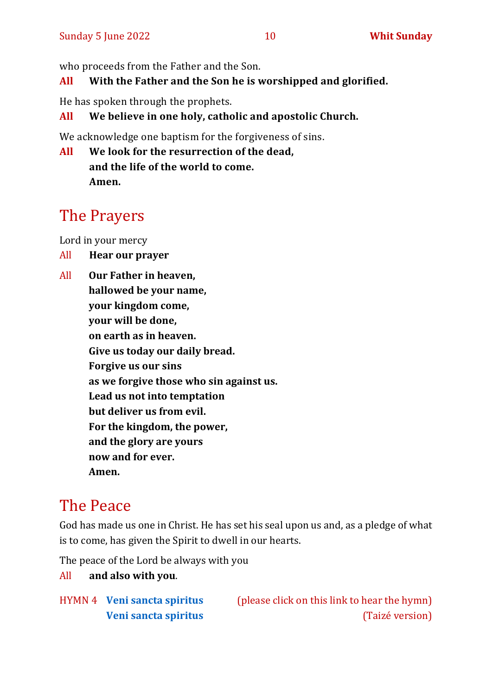# **All With the Father and the Son he is worshipped and glorified.**

He has spoken through the prophets.

# **All We believe in one holy, catholic and apostolic Church.**

We acknowledge one baptism for the forgiveness of sins.

**All We look for the resurrection of the dead, and the life of the world to come. Amen.**

# The Prayers

Lord in your mercy

- All **Hear our prayer**
- All **Our Father in heaven, hallowed be your name, your kingdom come, your will be done, on earth as in heaven. Give us today our daily bread. Forgive us our sins as we forgive those who sin against us. Lead us not into temptation but deliver us from evil. For the kingdom, the power, and the glory are yours now and for ever. Amen.**

# The Peace

God has made us one in Christ. He has set his seal upon us and, as a pledge of what is to come, has given the Spirit to dwell in our hearts.

The peace of the Lord be always with you

# All **and also with you**.

HYMN 4 **[Veni sancta spiritus](https://www.youtube.com/watch?v=DcjtO4lJX1g)** (please click on this link to hear the hymn) **[Veni sancta spiritus](https://www.youtube.com/watch?v=tG95MEZD2fI)** (Taizé version)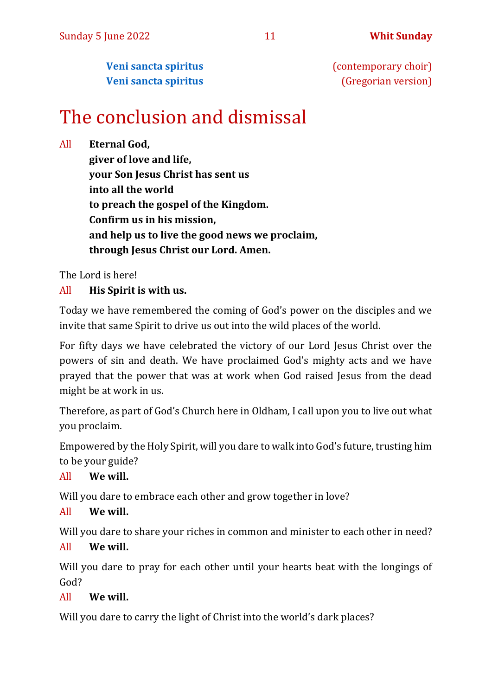**[Veni sancta spiritus](https://www.youtube.com/watch?v=OwUurCKa0Q8)** (contemporary choir) **[Veni sancta spiritus](https://www.youtube.com/watch?v=HEKuxUOPzk8&t=22s)** (Gregorian version)

# The conclusion and dismissal

All **Eternal God,** 

**giver of love and life, your Son Jesus Christ has sent us into all the world to preach the gospel of the Kingdom. Confirm us in his mission, and help us to live the good news we proclaim, through Jesus Christ our Lord. Amen.**

The Lord is here!

#### All **His Spirit is with us.**

Today we have remembered the coming of God's power on the disciples and we invite that same Spirit to drive us out into the wild places of the world.

For fifty days we have celebrated the victory of our Lord Jesus Christ over the powers of sin and death. We have proclaimed God's mighty acts and we have prayed that the power that was at work when God raised Jesus from the dead might be at work in us.

Therefore, as part of God's Church here in Oldham, I call upon you to live out what you proclaim.

Empowered by the Holy Spirit, will you dare to walk into God's future, trusting him to be your guide?

All **We will.**

Will you dare to embrace each other and grow together in love?

#### All **We will.**

Will you dare to share your riches in common and minister to each other in need? All **We will.**

Will you dare to pray for each other until your hearts beat with the longings of God?

#### All **We will.**

Will you dare to carry the light of Christ into the world's dark places?